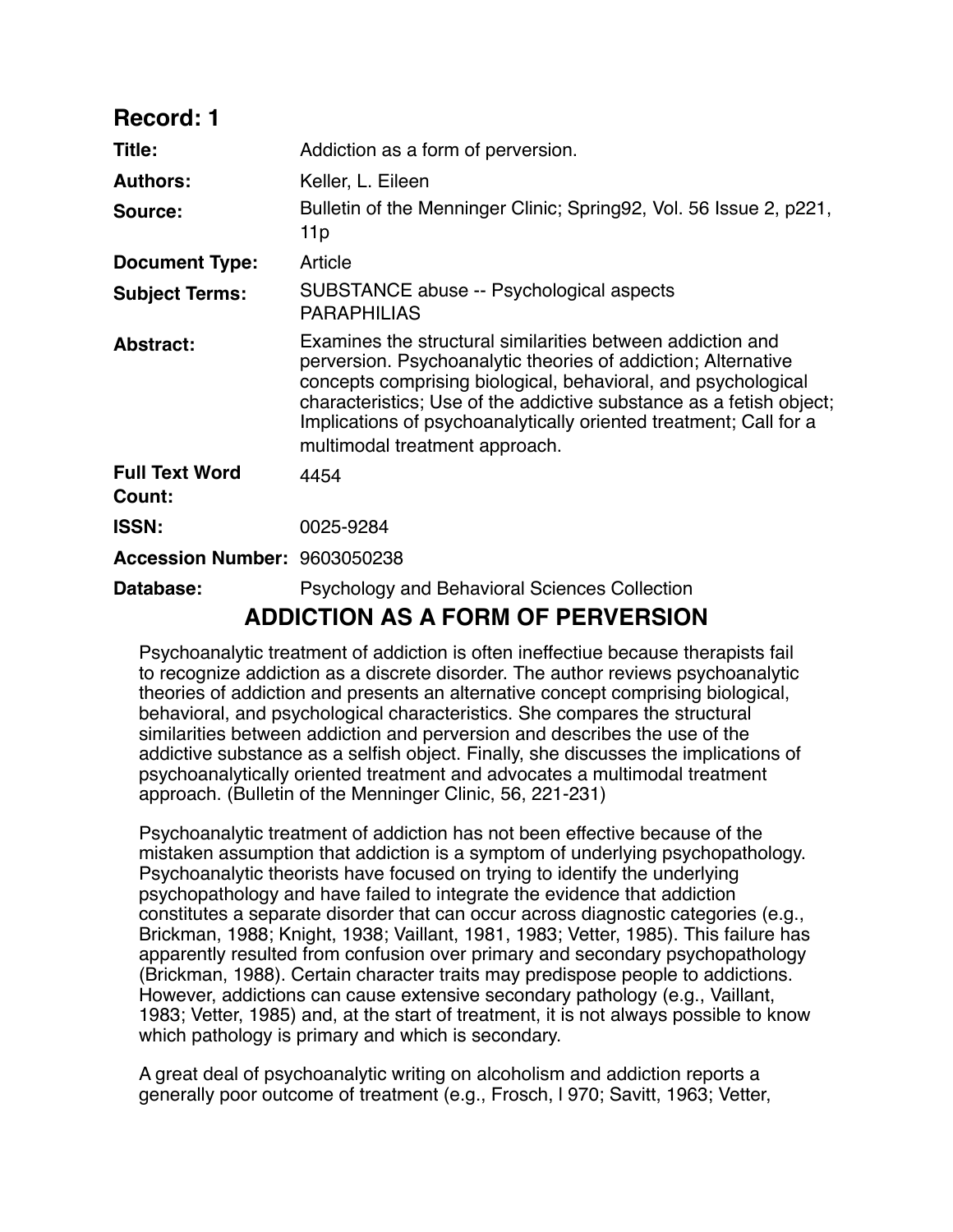| <b>Record: 1</b>                         |                                                                                                                                                                                                                                                                                                                                                                            |
|------------------------------------------|----------------------------------------------------------------------------------------------------------------------------------------------------------------------------------------------------------------------------------------------------------------------------------------------------------------------------------------------------------------------------|
| Title:                                   | Addiction as a form of perversion.                                                                                                                                                                                                                                                                                                                                         |
| <b>Authors:</b>                          | Keller, L. Eileen                                                                                                                                                                                                                                                                                                                                                          |
| Source:                                  | Bulletin of the Menninger Clinic; Spring92, Vol. 56 Issue 2, p221,<br>11p                                                                                                                                                                                                                                                                                                  |
| <b>Document Type:</b>                    | Article                                                                                                                                                                                                                                                                                                                                                                    |
| <b>Subject Terms:</b>                    | SUBSTANCE abuse -- Psychological aspects<br><b>PARAPHILIAS</b>                                                                                                                                                                                                                                                                                                             |
| <b>Abstract:</b>                         | Examines the structural similarities between addiction and<br>perversion. Psychoanalytic theories of addiction; Alternative<br>concepts comprising biological, behavioral, and psychological<br>characteristics; Use of the addictive substance as a fetish object;<br>Implications of psychoanalytically oriented treatment; Call for a<br>multimodal treatment approach. |
| <b>Full Text Word</b><br>Count:          | 4454                                                                                                                                                                                                                                                                                                                                                                       |
| <b>ISSN:</b>                             | 0025-9284                                                                                                                                                                                                                                                                                                                                                                  |
| Accession Number: 9603050238             |                                                                                                                                                                                                                                                                                                                                                                            |
| Database:                                | <b>Psychology and Behavioral Sciences Collection</b>                                                                                                                                                                                                                                                                                                                       |
| <b>ADDICTION AS A FORM OF PERVERSION</b> |                                                                                                                                                                                                                                                                                                                                                                            |

Psychoanalytic treatment of addiction is often ineffectiue because therapists fail to recognize addiction as a discrete disorder. The author reviews psychoanalytic theories of addiction and presents an alternative concept comprising biological, behavioral, and psychological characteristics. She compares the structural similarities between addiction and perversion and describes the use of the addictive substance as a selfish object. Finally, she discusses the implications of psychoanalytically oriented treatment and advocates a multimodal treatment approach. (Bulletin of the Menninger Clinic, 56, 221-231)

Psychoanalytic treatment of addiction has not been effective because of the mistaken assumption that addiction is a symptom of underlying psychopathology. Psychoanalytic theorists have focused on trying to identify the underlying psychopathology and have failed to integrate the evidence that addiction constitutes a separate disorder that can occur across diagnostic categories (e.g., Brickman, 1988; Knight, 1938; Vaillant, 1981, 1983; Vetter, 1985). This failure has apparently resulted from confusion over primary and secondary psychopathology (Brickman, 1988). Certain character traits may predispose people to addictions. However, addictions can cause extensive secondary pathology (e.g., Vaillant, 1983; Vetter, 1985) and, at the start of treatment, it is not always possible to know which pathology is primary and which is secondary.

A great deal of psychoanalytic writing on alcoholism and addiction reports a generally poor outcome of treatment (e.g., Frosch, l 970; Savitt, 1963; Vetter,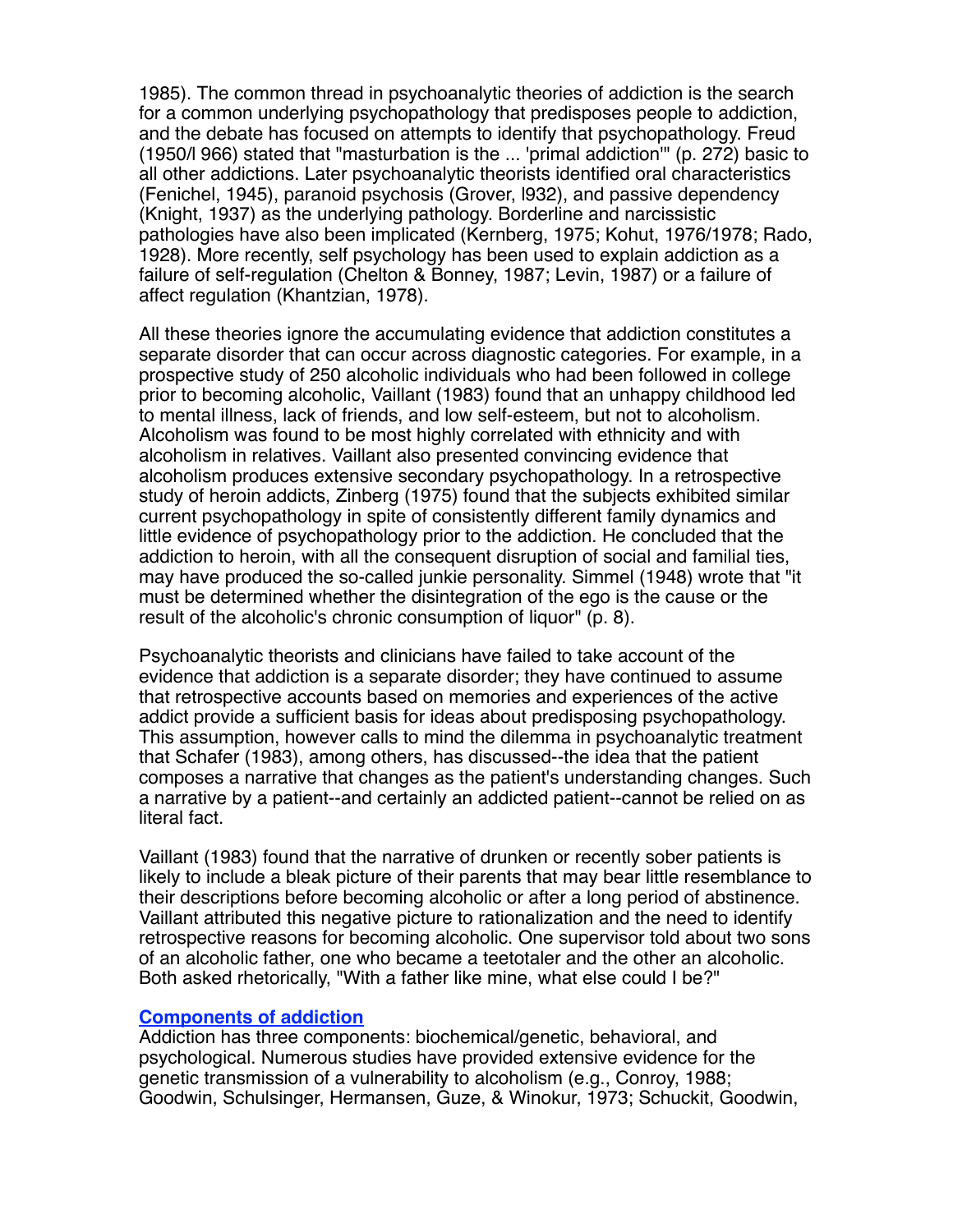1985). The common thread in psychoanalytic theories of addiction is the search for a common underlying psychopathology that predisposes people to addiction, and the debate has focused on attempts to identify that psychopathology. Freud (1950/l 966) stated that "masturbation is the ... 'primal addiction'" (p. 272) basic to all other addictions. Later psychoanalytic theorists identified oral characteristics (Fenichel, 1945), paranoid psychosis (Grover, l932), and passive dependency (Knight, 1937) as the underlying pathology. Borderline and narcissistic pathologies have also been implicated (Kernberg, 1975; Kohut, 1976/1978; Rado, 1928). More recently, self psychology has been used to explain addiction as a failure of self-regulation (Chelton & Bonney, 1987; Levin, 1987) or a failure of affect regulation (Khantzian, 1978).

All these theories ignore the accumulating evidence that addiction constitutes a separate disorder that can occur across diagnostic categories. For example, in a prospective study of 250 alcoholic individuals who had been followed in college prior to becoming alcoholic, Vaillant (1983) found that an unhappy childhood led to mental illness, lack of friends, and low self-esteem, but not to alcoholism. Alcoholism was found to be most highly correlated with ethnicity and with alcoholism in relatives. Vaillant also presented convincing evidence that alcoholism produces extensive secondary psychopathology. In a retrospective study of heroin addicts, Zinberg (1975) found that the subjects exhibited similar current psychopathology in spite of consistently different family dynamics and little evidence of psychopathology prior to the addiction. He concluded that the addiction to heroin, with all the consequent disruption of social and familial ties, may have produced the so-called junkie personality. Simmel (1948) wrote that "it must be determined whether the disintegration of the ego is the cause or the result of the alcoholic's chronic consumption of liquor" (p. 8).

Psychoanalytic theorists and clinicians have failed to take account of the evidence that addiction is a separate disorder; they have continued to assume that retrospective accounts based on memories and experiences of the active addict provide a sufficient basis for ideas about predisposing psychopathology. This assumption, however calls to mind the dilemma in psychoanalytic treatment that Schafer (1983), among others, has discussed--the idea that the patient composes a narrative that changes as the patient's understanding changes. Such a narrative by a patient--and certainly an addicted patient--cannot be relied on as literal fact.

Vaillant (1983) found that the narrative of drunken or recently sober patients is likely to include a bleak picture of their parents that may bear little resemblance to their descriptions before becoming alcoholic or after a long period of abstinence. Vaillant attributed this negative picture to rationalization and the need to identify retrospective reasons for becoming alcoholic. One supervisor told about two sons of an alcoholic father, one who became a teetotaler and the other an alcoholic. Both asked rhetorically, "With a father like mine, what else could I be?"

## **Components of addiction**

Addiction has three components: biochemical/genetic, behavioral, and psychological. Numerous studies have provided extensive evidence for the genetic transmission of a vulnerability to alcoholism (e.g., Conroy, 1988; Goodwin, Schulsinger, Hermansen, Guze, & Winokur, 1973; Schuckit, Goodwin,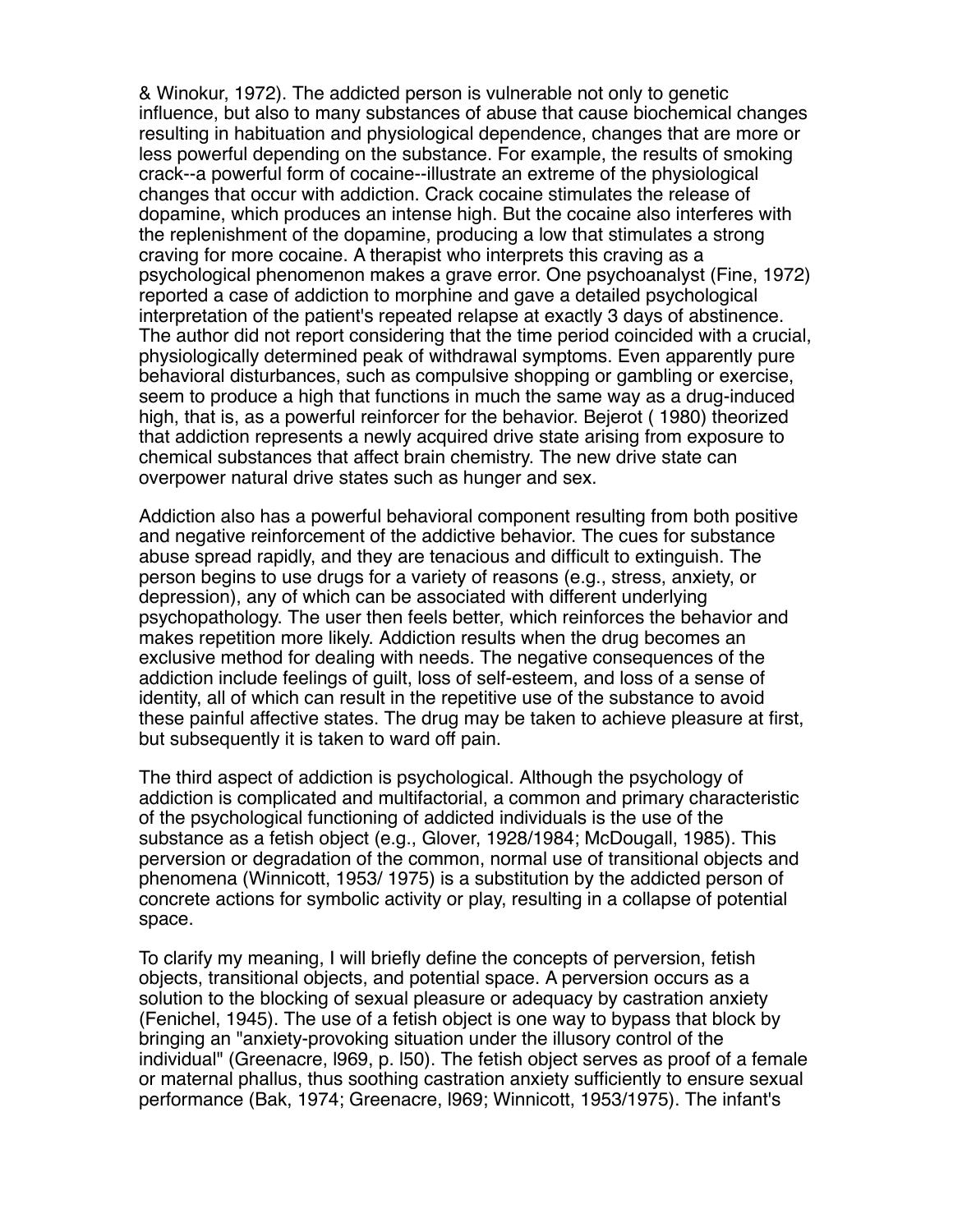& Winokur, 1972). The addicted person is vulnerable not only to genetic influence, but also to many substances of abuse that cause biochemical changes resulting in habituation and physiological dependence, changes that are more or less powerful depending on the substance. For example, the results of smoking crack--a powerful form of cocaine--illustrate an extreme of the physiological changes that occur with addiction. Crack cocaine stimulates the release of dopamine, which produces an intense high. But the cocaine also interferes with the replenishment of the dopamine, producing a low that stimulates a strong craving for more cocaine. A therapist who interprets this craving as a psychological phenomenon makes a grave error. One psychoanalyst (Fine, 1972) reported a case of addiction to morphine and gave a detailed psychological interpretation of the patient's repeated relapse at exactly 3 days of abstinence. The author did not report considering that the time period coincided with a crucial, physiologically determined peak of withdrawal symptoms. Even apparently pure behavioral disturbances, such as compulsive shopping or gambling or exercise, seem to produce a high that functions in much the same way as a drug-induced high, that is, as a powerful reinforcer for the behavior. Bejerot ( 1980) theorized that addiction represents a newly acquired drive state arising from exposure to chemical substances that affect brain chemistry. The new drive state can overpower natural drive states such as hunger and sex.

Addiction also has a powerful behavioral component resulting from both positive and negative reinforcement of the addictive behavior. The cues for substance abuse spread rapidly, and they are tenacious and difficult to extinguish. The person begins to use drugs for a variety of reasons (e.g., stress, anxiety, or depression), any of which can be associated with different underlying psychopathology. The user then feels better, which reinforces the behavior and makes repetition more likely. Addiction results when the drug becomes an exclusive method for dealing with needs. The negative consequences of the addiction include feelings of guilt, loss of self-esteem, and loss of a sense of identity, all of which can result in the repetitive use of the substance to avoid these painful affective states. The drug may be taken to achieve pleasure at first, but subsequently it is taken to ward off pain.

The third aspect of addiction is psychological. Although the psychology of addiction is complicated and multifactorial, a common and primary characteristic of the psychological functioning of addicted individuals is the use of the substance as a fetish object (e.g., Glover, 1928/1984; McDougall, 1985). This perversion or degradation of the common, normal use of transitional objects and phenomena (Winnicott, 1953/ 1975) is a substitution by the addicted person of concrete actions for symbolic activity or play, resulting in a collapse of potential space.

To clarify my meaning, I will briefly define the concepts of perversion, fetish objects, transitional objects, and potential space. A perversion occurs as a solution to the blocking of sexual pleasure or adequacy by castration anxiety (Fenichel, 1945). The use of a fetish object is one way to bypass that block by bringing an "anxiety-provoking situation under the illusory control of the individual" (Greenacre, l969, p. l50). The fetish object serves as proof of a female or maternal phallus, thus soothing castration anxiety sufficiently to ensure sexual performance (Bak, 1974; Greenacre, l969; Winnicott, 1953/1975). The infant's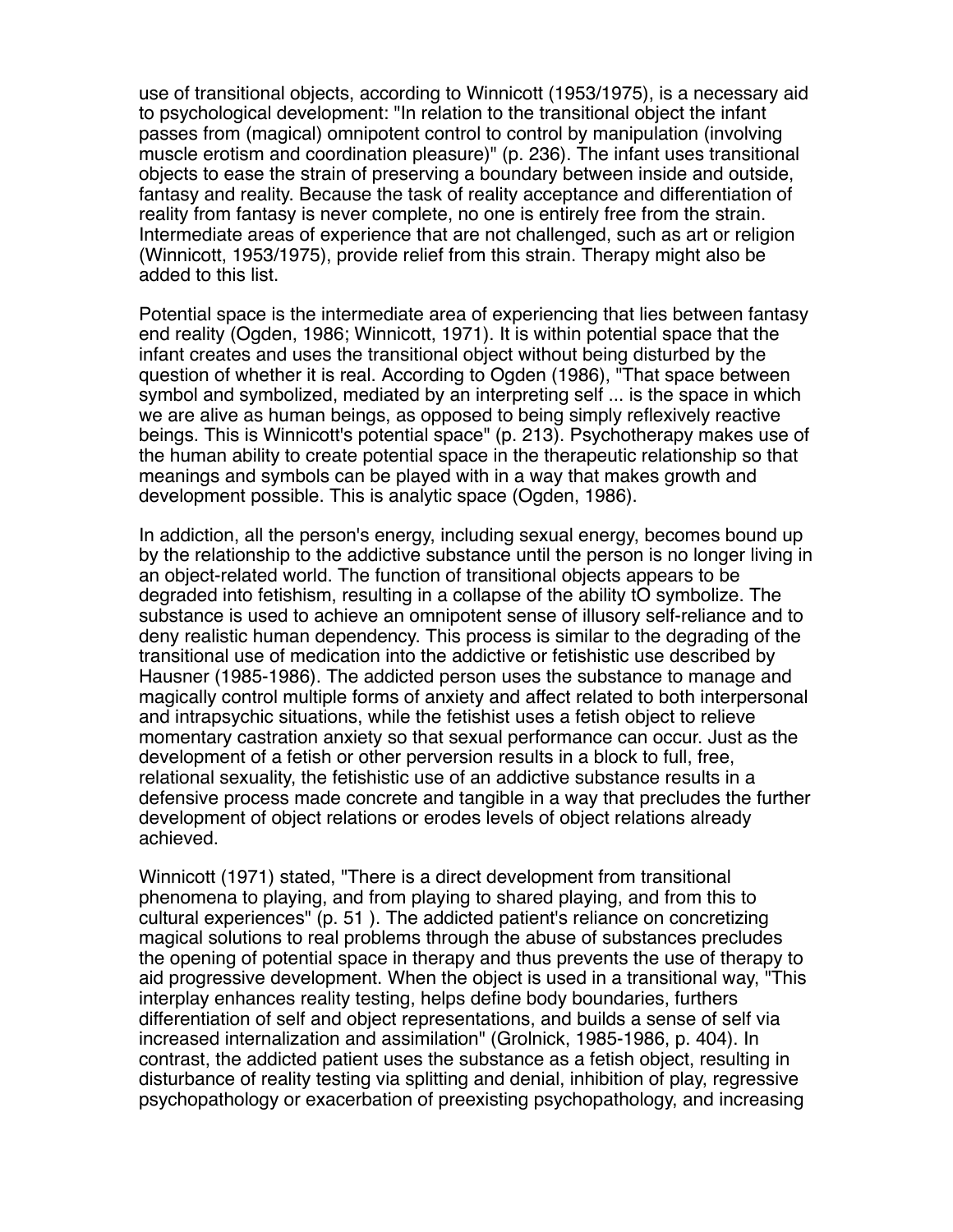use of transitional objects, according to Winnicott (1953/1975), is a necessary aid to psychological development: "In relation to the transitional object the infant passes from (magical) omnipotent control to control by manipulation (involving muscle erotism and coordination pleasure)" (p. 236). The infant uses transitional objects to ease the strain of preserving a boundary between inside and outside, fantasy and reality. Because the task of reality acceptance and differentiation of reality from fantasy is never complete, no one is entirely free from the strain. Intermediate areas of experience that are not challenged, such as art or religion (Winnicott, 1953/1975), provide relief from this strain. Therapy might also be added to this list.

Potential space is the intermediate area of experiencing that lies between fantasy end reality (Ogden, 1986; Winnicott, 1971). It is within potential space that the infant creates and uses the transitional object without being disturbed by the question of whether it is real. According to Ogden (1986), "That space between symbol and symbolized, mediated by an interpreting self ... is the space in which we are alive as human beings, as opposed to being simply reflexively reactive beings. This is Winnicott's potential space" (p. 213). Psychotherapy makes use of the human ability to create potential space in the therapeutic relationship so that meanings and symbols can be played with in a way that makes growth and development possible. This is analytic space (Ogden, 1986).

In addiction, all the person's energy, including sexual energy, becomes bound up by the relationship to the addictive substance until the person is no longer living in an object-related world. The function of transitional objects appears to be degraded into fetishism, resulting in a collapse of the ability tO symbolize. The substance is used to achieve an omnipotent sense of illusory self-reliance and to deny realistic human dependency. This process is similar to the degrading of the transitional use of medication into the addictive or fetishistic use described by Hausner (1985-1986). The addicted person uses the substance to manage and magically control multiple forms of anxiety and affect related to both interpersonal and intrapsychic situations, while the fetishist uses a fetish object to relieve momentary castration anxiety so that sexual performance can occur. Just as the development of a fetish or other perversion results in a block to full, free, relational sexuality, the fetishistic use of an addictive substance results in a defensive process made concrete and tangible in a way that precludes the further development of object relations or erodes levels of object relations already achieved.

Winnicott (1971) stated, "There is a direct development from transitional phenomena to playing, and from playing to shared playing, and from this to cultural experiences" (p. 51 ). The addicted patient's reliance on concretizing magical solutions to real problems through the abuse of substances precludes the opening of potential space in therapy and thus prevents the use of therapy to aid progressive development. When the object is used in a transitional way, "This interplay enhances reality testing, helps define body boundaries, furthers differentiation of self and object representations, and builds a sense of self via increased internalization and assimilation" (Grolnick, 1985-1986, p. 404). In contrast, the addicted patient uses the substance as a fetish object, resulting in disturbance of reality testing via splitting and denial, inhibition of play, regressive psychopathology or exacerbation of preexisting psychopathology, and increasing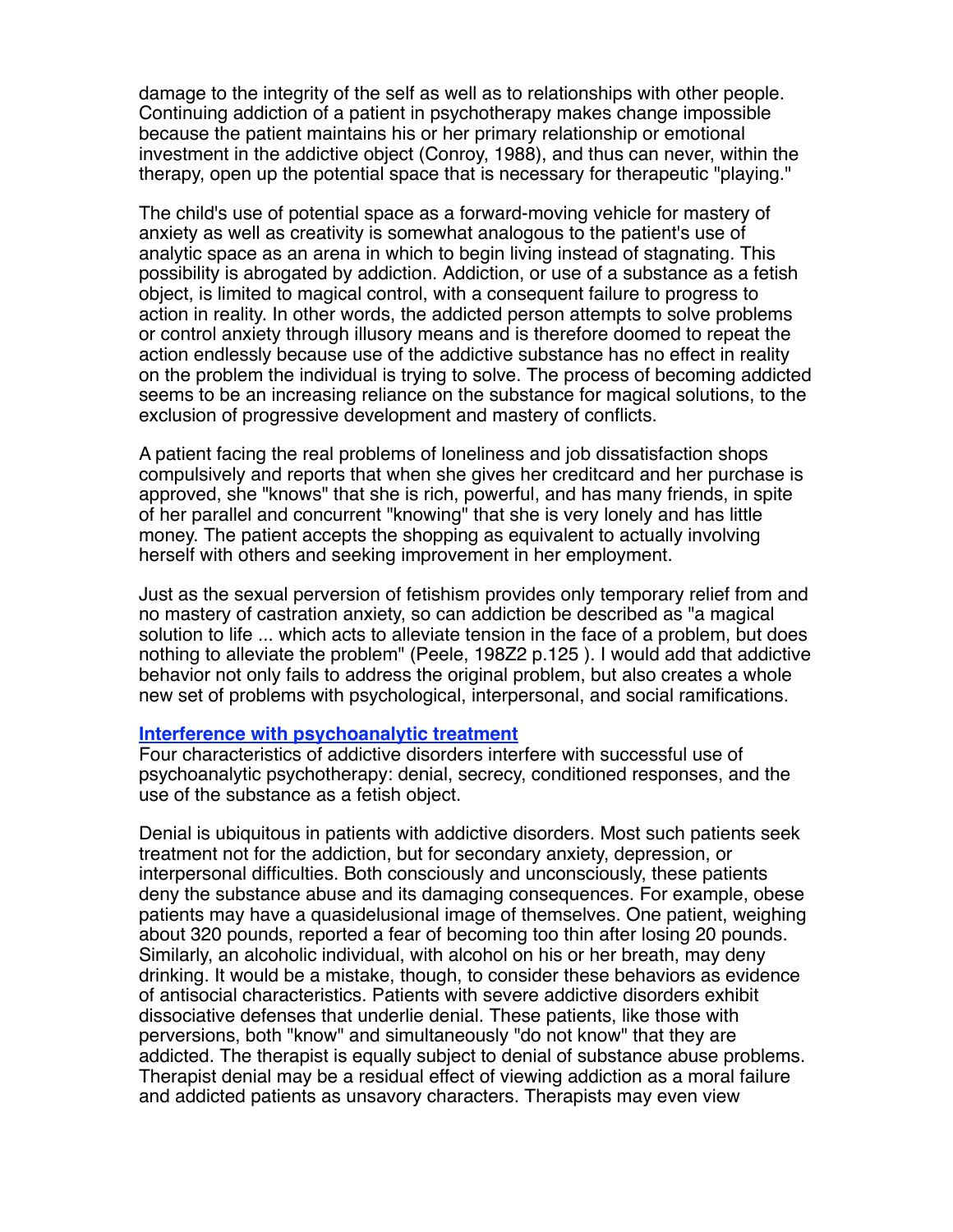damage to the integrity of the self as well as to relationships with other people. Continuing addiction of a patient in psychotherapy makes change impossible because the patient maintains his or her primary relationship or emotional investment in the addictive object (Conroy, 1988), and thus can never, within the therapy, open up the potential space that is necessary for therapeutic "playing."

The child's use of potential space as a forward-moving vehicle for mastery of anxiety as well as creativity is somewhat analogous to the patient's use of analytic space as an arena in which to begin living instead of stagnating. This possibility is abrogated by addiction. Addiction, or use of a substance as a fetish object, is limited to magical control, with a consequent failure to progress to action in reality. In other words, the addicted person attempts to solve problems or control anxiety through illusory means and is therefore doomed to repeat the action endlessly because use of the addictive substance has no effect in reality on the problem the individual is trying to solve. The process of becoming addicted seems to be an increasing reliance on the substance for magical solutions, to the exclusion of progressive development and mastery of conflicts.

A patient facing the real problems of loneliness and job dissatisfaction shops compulsively and reports that when she gives her creditcard and her purchase is approved, she "knows" that she is rich, powerful, and has many friends, in spite of her parallel and concurrent "knowing" that she is very lonely and has little money. The patient accepts the shopping as equivalent to actually involving herself with others and seeking improvement in her employment.

Just as the sexual perversion of fetishism provides only temporary relief from and no mastery of castration anxiety, so can addiction be described as "a magical solution to life ... which acts to alleviate tension in the face of a problem, but does nothing to alleviate the problem" (Peele, 198Z2 p.125 ). I would add that addictive behavior not only fails to address the original problem, but also creates a whole new set of problems with psychological, interpersonal, and social ramifications.

## **Interference with psychoanalytic treatment**

Four characteristics of addictive disorders interfere with successful use of psychoanalytic psychotherapy: denial, secrecy, conditioned responses, and the use of the substance as a fetish object.

Denial is ubiquitous in patients with addictive disorders. Most such patients seek treatment not for the addiction, but for secondary anxiety, depression, or interpersonal difficulties. Both consciously and unconsciously, these patients deny the substance abuse and its damaging consequences. For example, obese patients may have a quasidelusional image of themselves. One patient, weighing about 320 pounds, reported a fear of becoming too thin after losing 20 pounds. Similarly, an alcoholic individual, with alcohol on his or her breath, may deny drinking. It would be a mistake, though, to consider these behaviors as evidence of antisocial characteristics. Patients with severe addictive disorders exhibit dissociative defenses that underlie denial. These patients, like those with perversions, both "know" and simultaneously "do not know" that they are addicted. The therapist is equally subject to denial of substance abuse problems. Therapist denial may be a residual effect of viewing addiction as a moral failure and addicted patients as unsavory characters. Therapists may even view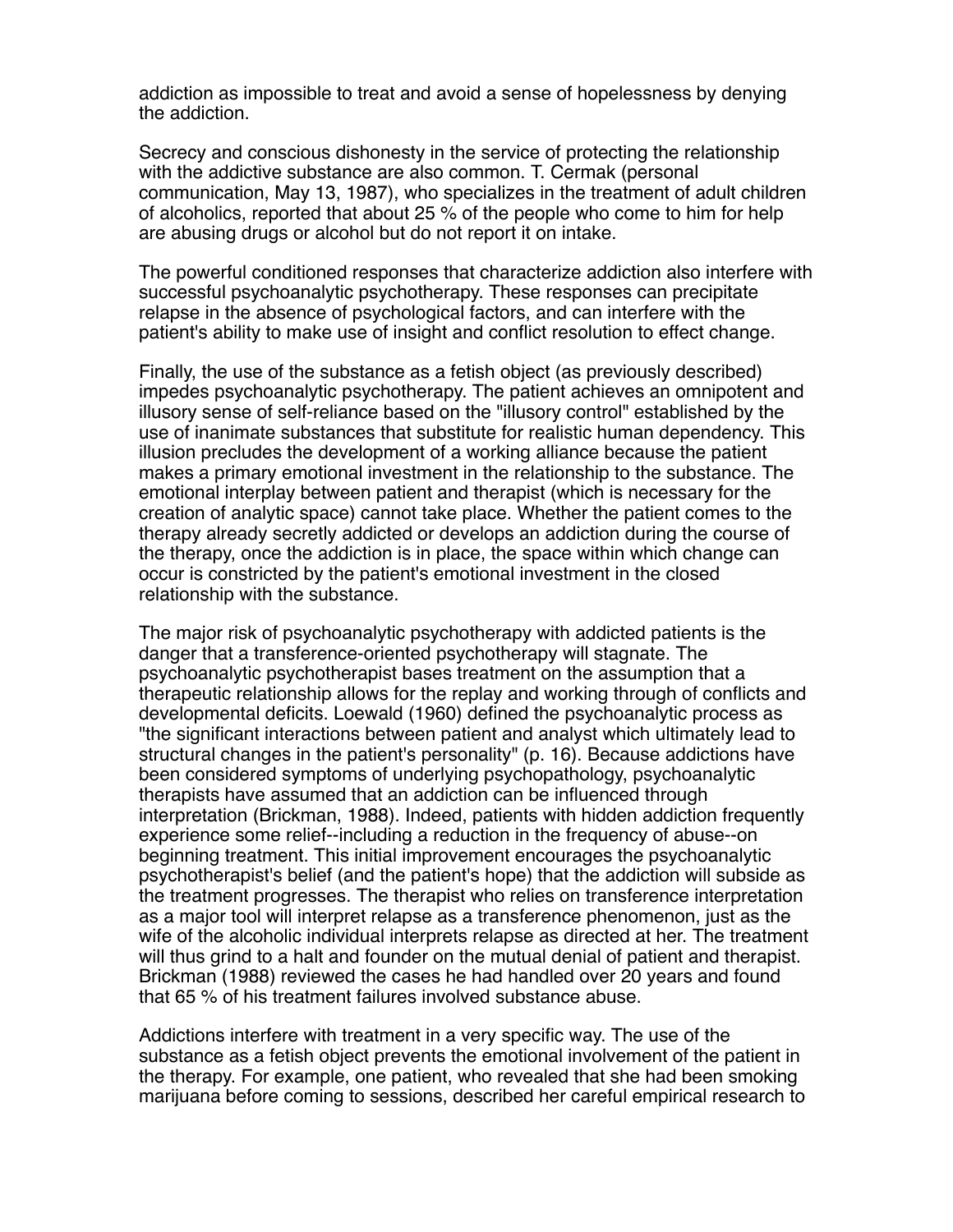addiction as impossible to treat and avoid a sense of hopelessness by denying the addiction.

Secrecy and conscious dishonesty in the service of protecting the relationship with the addictive substance are also common. T. Cermak (personal communication, May 13, 1987), who specializes in the treatment of adult children of alcoholics, reported that about 25 % of the people who come to him for help are abusing drugs or alcohol but do not report it on intake.

The powerful conditioned responses that characterize addiction also interfere with successful psychoanalytic psychotherapy. These responses can precipitate relapse in the absence of psychological factors, and can interfere with the patient's ability to make use of insight and conflict resolution to effect change.

Finally, the use of the substance as a fetish object (as previously described) impedes psychoanalytic psychotherapy. The patient achieves an omnipotent and illusory sense of self-reliance based on the "illusory control" established by the use of inanimate substances that substitute for realistic human dependency. This illusion precludes the development of a working alliance because the patient makes a primary emotional investment in the relationship to the substance. The emotional interplay between patient and therapist (which is necessary for the creation of analytic space) cannot take place. Whether the patient comes to the therapy already secretly addicted or develops an addiction during the course of the therapy, once the addiction is in place, the space within which change can occur is constricted by the patient's emotional investment in the closed relationship with the substance.

The major risk of psychoanalytic psychotherapy with addicted patients is the danger that a transference-oriented psychotherapy will stagnate. The psychoanalytic psychotherapist bases treatment on the assumption that a therapeutic relationship allows for the replay and working through of conflicts and developmental deficits. Loewald (1960) defined the psychoanalytic process as "the significant interactions between patient and analyst which ultimately lead to structural changes in the patient's personality" (p. 16). Because addictions have been considered symptoms of underlying psychopathology, psychoanalytic therapists have assumed that an addiction can be influenced through interpretation (Brickman, 1988). Indeed, patients with hidden addiction frequently experience some relief--including a reduction in the frequency of abuse--on beginning treatment. This initial improvement encourages the psychoanalytic psychotherapist's belief (and the patient's hope) that the addiction will subside as the treatment progresses. The therapist who relies on transference interpretation as a major tool will interpret relapse as a transference phenomenon, just as the wife of the alcoholic individual interprets relapse as directed at her. The treatment will thus grind to a halt and founder on the mutual denial of patient and therapist. Brickman (1988) reviewed the cases he had handled over 20 years and found that 65 % of his treatment failures involved substance abuse.

Addictions interfere with treatment in a very specific way. The use of the substance as a fetish object prevents the emotional involvement of the patient in the therapy. For example, one patient, who revealed that she had been smoking marijuana before coming to sessions, described her careful empirical research to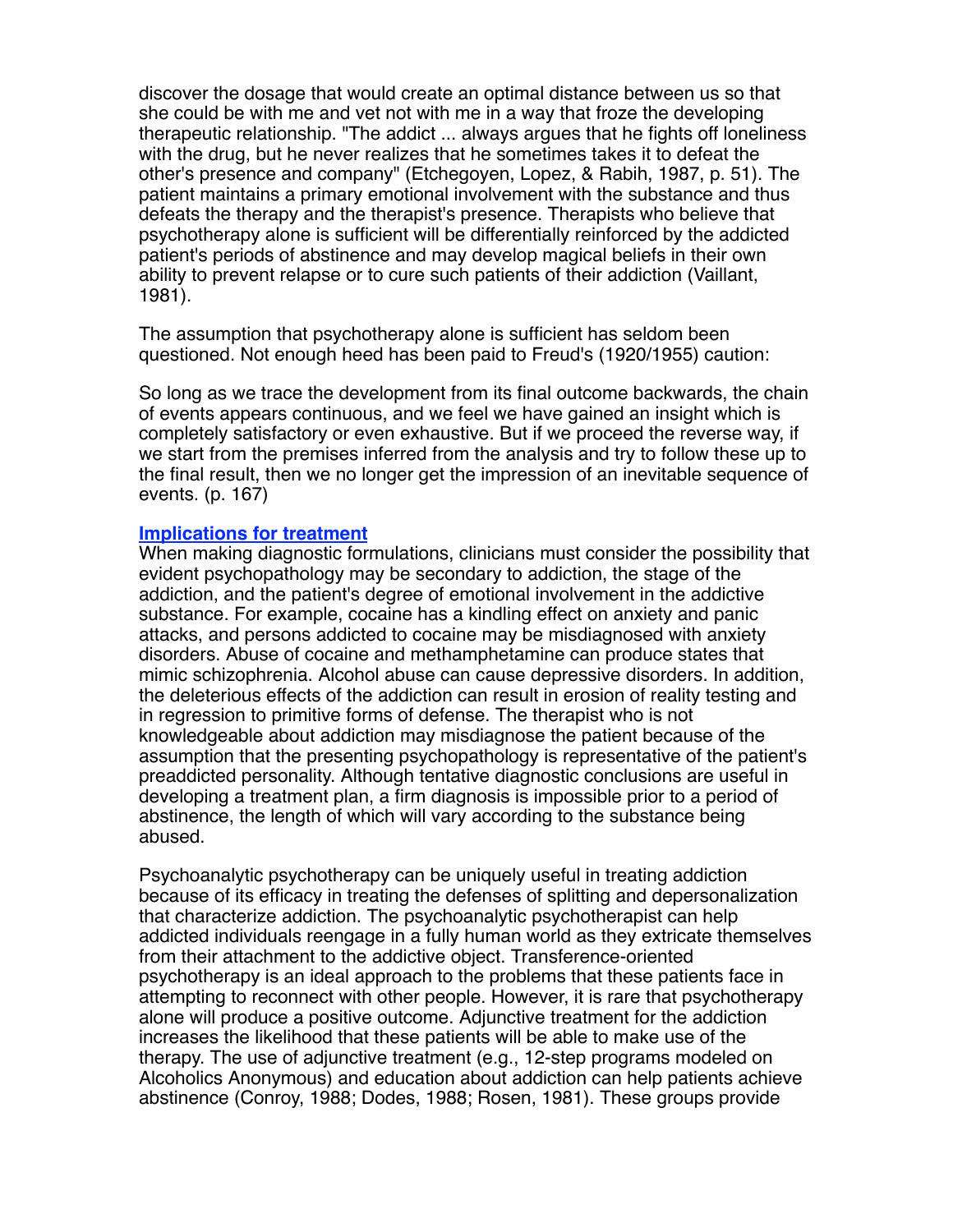discover the dosage that would create an optimal distance between us so that she could be with me and vet not with me in a way that froze the developing therapeutic relationship. "The addict ... always argues that he fights off loneliness with the drug, but he never realizes that he sometimes takes it to defeat the other's presence and company" (Etchegoyen, Lopez, & Rabih, 1987, p. 51). The patient maintains a primary emotional involvement with the substance and thus defeats the therapy and the therapist's presence. Therapists who believe that psychotherapy alone is sufficient will be differentially reinforced by the addicted patient's periods of abstinence and may develop magical beliefs in their own ability to prevent relapse or to cure such patients of their addiction (Vaillant, 1981).

The assumption that psychotherapy alone is sufficient has seldom been questioned. Not enough heed has been paid to Freud's (1920/1955) caution:

So long as we trace the development from its final outcome backwards, the chain of events appears continuous, and we feel we have gained an insight which is completely satisfactory or even exhaustive. But if we proceed the reverse way, if we start from the premises inferred from the analysis and try to follow these up to the final result, then we no longer get the impression of an inevitable sequence of events. (p. 167)

## **Implications for treatment**

When making diagnostic formulations, clinicians must consider the possibility that evident psychopathology may be secondary to addiction, the stage of the addiction, and the patient's degree of emotional involvement in the addictive substance. For example, cocaine has a kindling effect on anxiety and panic attacks, and persons addicted to cocaine may be misdiagnosed with anxiety disorders. Abuse of cocaine and methamphetamine can produce states that mimic schizophrenia. Alcohol abuse can cause depressive disorders. In addition, the deleterious effects of the addiction can result in erosion of reality testing and in regression to primitive forms of defense. The therapist who is not knowledgeable about addiction may misdiagnose the patient because of the assumption that the presenting psychopathology is representative of the patient's preaddicted personality. Although tentative diagnostic conclusions are useful in developing a treatment plan, a firm diagnosis is impossible prior to a period of abstinence, the length of which will vary according to the substance being abused.

Psychoanalytic psychotherapy can be uniquely useful in treating addiction because of its efficacy in treating the defenses of splitting and depersonalization that characterize addiction. The psychoanalytic psychotherapist can help addicted individuals reengage in a fully human world as they extricate themselves from their attachment to the addictive object. Transference-oriented psychotherapy is an ideal approach to the problems that these patients face in attempting to reconnect with other people. However, it is rare that psychotherapy alone will produce a positive outcome. Adjunctive treatment for the addiction increases the likelihood that these patients will be able to make use of the therapy. The use of adjunctive treatment (e.g., 12-step programs modeled on Alcoholics Anonymous) and education about addiction can help patients achieve abstinence (Conroy, 1988; Dodes, 1988; Rosen, 1981). These groups provide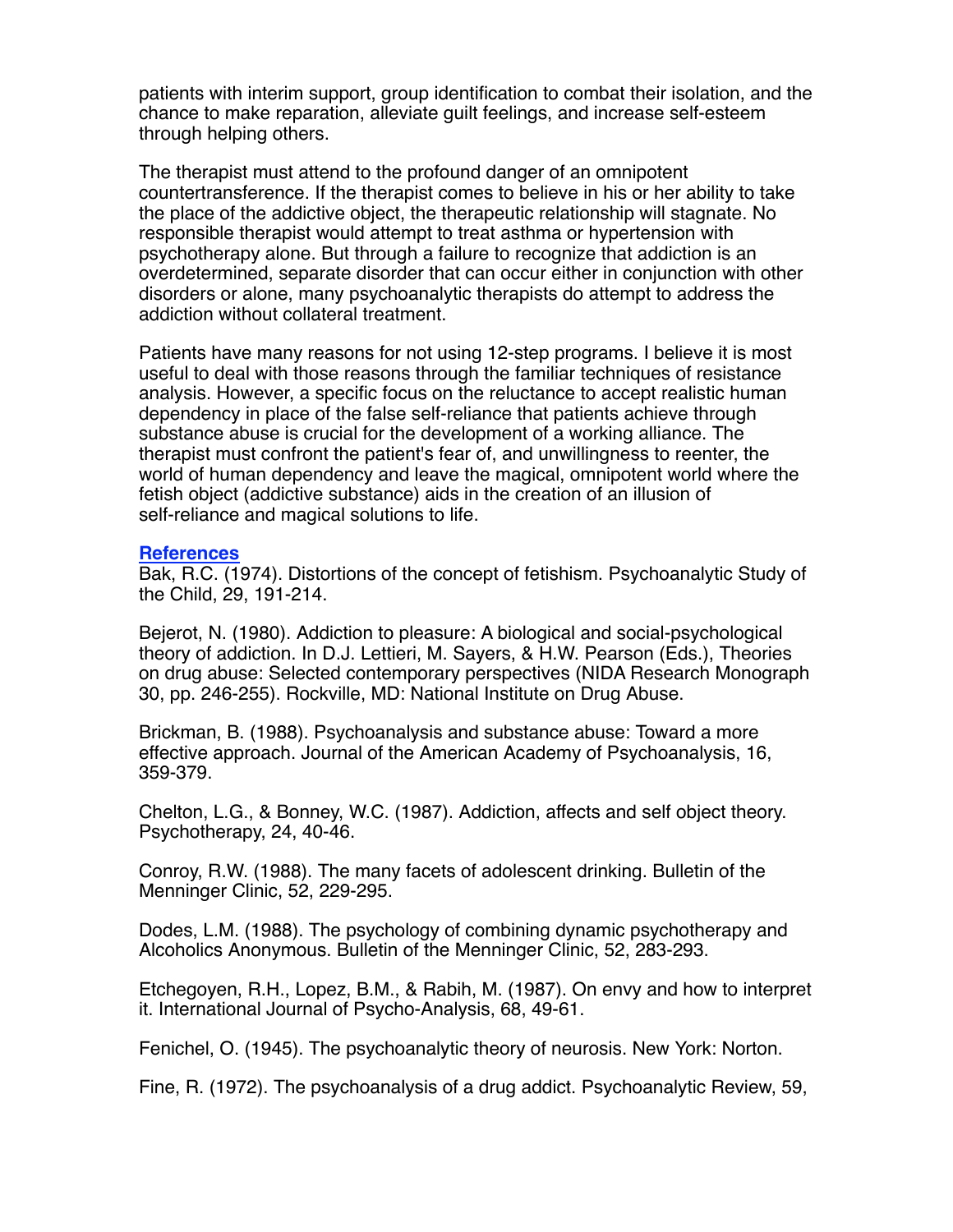patients with interim support, group identification to combat their isolation, and the chance to make reparation, alleviate guilt feelings, and increase self-esteem through helping others.

The therapist must attend to the profound danger of an omnipotent countertransference. If the therapist comes to believe in his or her ability to take the place of the addictive object, the therapeutic relationship will stagnate. No responsible therapist would attempt to treat asthma or hypertension with psychotherapy alone. But through a failure to recognize that addiction is an overdetermined, separate disorder that can occur either in conjunction with other disorders or alone, many psychoanalytic therapists do attempt to address the addiction without collateral treatment.

Patients have many reasons for not using 12-step programs. I believe it is most useful to deal with those reasons through the familiar techniques of resistance analysis. However, a specific focus on the reluctance to accept realistic human dependency in place of the false self-reliance that patients achieve through substance abuse is crucial for the development of a working alliance. The therapist must confront the patient's fear of, and unwillingness to reenter, the world of human dependency and leave the magical, omnipotent world where the fetish object (addictive substance) aids in the creation of an illusion of self-reliance and magical solutions to life.

## **References**

Bak, R.C. (1974). Distortions of the concept of fetishism. Psychoanalytic Study of the Child, 29, 191-214.

Bejerot, N. (1980). Addiction to pleasure: A biological and social-psychological theory of addiction. In D.J. Lettieri, M. Sayers, & H.W. Pearson (Eds.), Theories on drug abuse: Selected contemporary perspectives (NIDA Research Monograph 30, pp. 246-255). Rockville, MD: National Institute on Drug Abuse.

Brickman, B. (1988). Psychoanalysis and substance abuse: Toward a more effective approach. Journal of the American Academy of Psychoanalysis, 16, 359-379.

Chelton, L.G., & Bonney, W.C. (1987). Addiction, affects and self object theory. Psychotherapy, 24, 40-46.

Conroy, R.W. (1988). The many facets of adolescent drinking. Bulletin of the Menninger Clinic, 52, 229-295.

Dodes, L.M. (1988). The psychology of combining dynamic psychotherapy and Alcoholics Anonymous. Bulletin of the Menninger Clinic, 52, 283-293.

Etchegoyen, R.H., Lopez, B.M., & Rabih, M. (1987). On envy and how to interpret it. International Journal of Psycho-Analysis, 68, 49-61.

Fenichel, O. (1945). The psychoanalytic theory of neurosis. New York: Norton.

Fine, R. (1972). The psychoanalysis of a drug addict. Psychoanalytic Review, 59,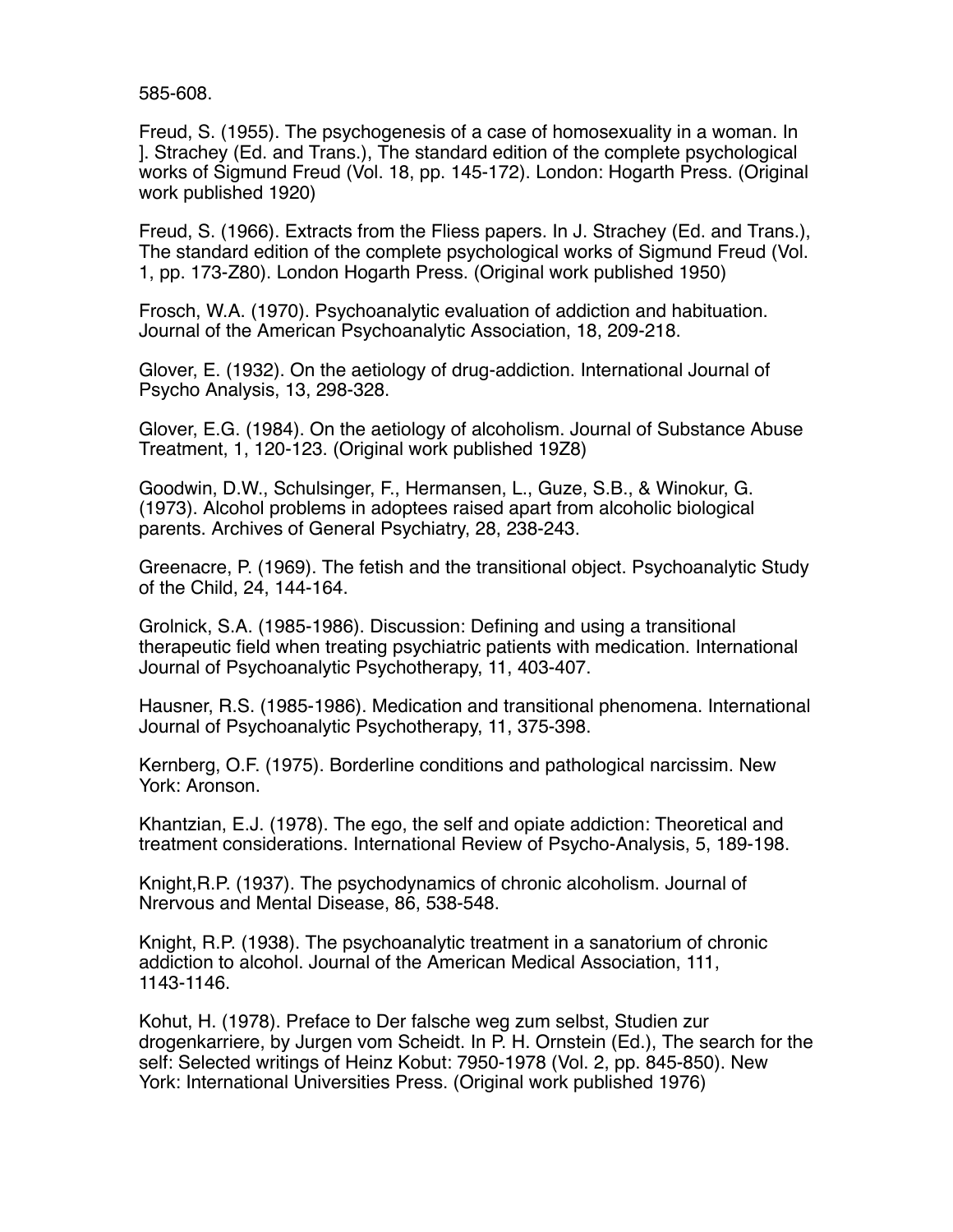585-608.

Freud, S. (1955). The psychogenesis of a case of homosexuality in a woman. In ]. Strachey (Ed. and Trans.), The standard edition of the complete psychological works of Sigmund Freud (Vol. 18, pp. 145-172). London: Hogarth Press. (Original work published 1920)

Freud, S. (1966). Extracts from the Fliess papers. In J. Strachey (Ed. and Trans.), The standard edition of the complete psychological works of Sigmund Freud (Vol. 1, pp. 173-Z80). London Hogarth Press. (Original work published 1950)

Frosch, W.A. (1970). Psychoanalytic evaluation of addiction and habituation. Journal of the American Psychoanalytic Association, 18, 209-218.

Glover, E. (1932). On the aetiology of drug-addiction. International Journal of Psycho Analysis, 13, 298-328.

Glover, E.G. (1984). On the aetiology of alcoholism. Journal of Substance Abuse Treatment, 1, 120-123. (Original work published 19Z8)

Goodwin, D.W., Schulsinger, F., Hermansen, L., Guze, S.B., & Winokur, G. (1973). Alcohol problems in adoptees raised apart from alcoholic biological parents. Archives of General Psychiatry, 28, 238-243.

Greenacre, P. (1969). The fetish and the transitional object. Psychoanalytic Study of the Child, 24, 144-164.

Grolnick, S.A. (1985-1986). Discussion: Defining and using a transitional therapeutic field when treating psychiatric patients with medication. International Journal of Psychoanalytic Psychotherapy, 11, 403-407.

Hausner, R.S. (1985-1986). Medication and transitional phenomena. International Journal of Psychoanalytic Psychotherapy, 11, 375-398.

Kernberg, O.F. (1975). Borderline conditions and pathological narcissim. New York: Aronson.

Khantzian, E.J. (1978). The ego, the self and opiate addiction: Theoretical and treatment considerations. International Review of Psycho-Analysis, 5, 189-198.

Knight,R.P. (1937). The psychodynamics of chronic alcoholism. Journal of Nrervous and Mental Disease, 86, 538-548.

Knight, R.P. (1938). The psychoanalytic treatment in a sanatorium of chronic addiction to alcohol. Journal of the American Medical Association, 111, 1143-1146.

Kohut, H. (1978). Preface to Der falsche weg zum selbst, Studien zur drogenkarriere, by Jurgen vom Scheidt. In P. H. Ornstein (Ed.), The search for the self: Selected writings of Heinz Kobut: 7950-1978 (Vol. 2, pp. 845-850). New York: International Universities Press. (Original work published 1976)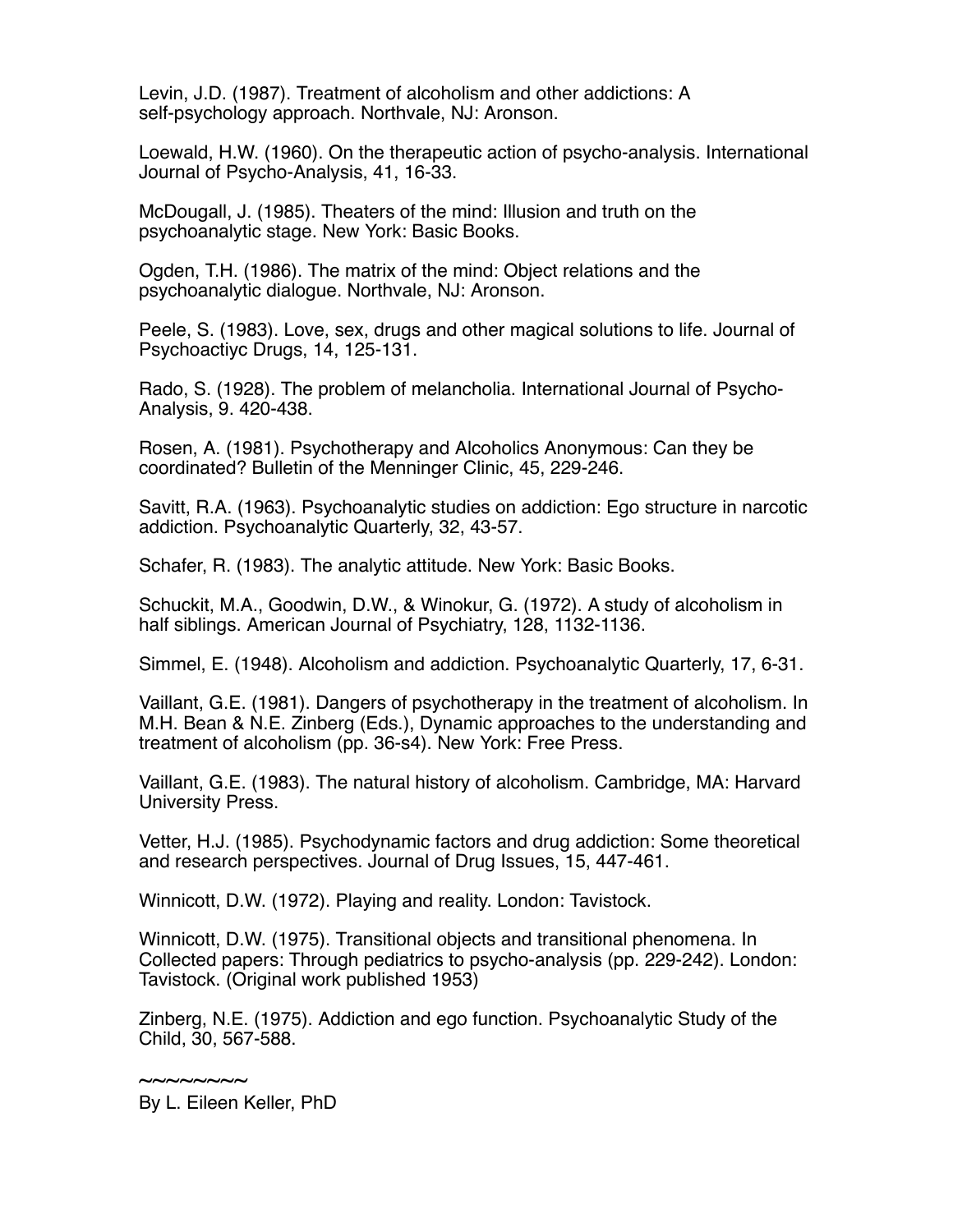Levin, J.D. (1987). Treatment of alcoholism and other addictions: A self-psychology approach. Northvale, NJ: Aronson.

Loewald, H.W. (1960). On the therapeutic action of psycho-analysis. International Journal of Psycho-Analysis, 41, 16-33.

McDougall, J. (1985). Theaters of the mind: Illusion and truth on the psychoanalytic stage. New York: Basic Books.

Ogden, T.H. (1986). The matrix of the mind: Object relations and the psychoanalytic dialogue. Northvale, NJ: Aronson.

Peele, S. (1983). Love, sex, drugs and other magical solutions to life. Journal of Psychoactiyc Drugs, 14, 125-131.

Rado, S. (1928). The problem of melancholia. International Journal of Psycho-Analysis, 9. 420-438.

Rosen, A. (1981). Psychotherapy and Alcoholics Anonymous: Can they be coordinated? Bulletin of the Menninger Clinic, 45, 229-246.

Savitt, R.A. (1963). Psychoanalytic studies on addiction: Ego structure in narcotic addiction. Psychoanalytic Quarterly, 32, 43-57.

Schafer, R. (1983). The analytic attitude. New York: Basic Books.

Schuckit, M.A., Goodwin, D.W., & Winokur, G. (1972). A study of alcoholism in half siblings. American Journal of Psychiatry, 128, 1132-1136.

Simmel, E. (1948). Alcoholism and addiction. Psychoanalytic Quarterly, 17, 6-31.

Vaillant, G.E. (1981). Dangers of psychotherapy in the treatment of alcoholism. In M.H. Bean & N.E. Zinberg (Eds.), Dynamic approaches to the understanding and treatment of alcoholism (pp. 36-s4). New York: Free Press.

Vaillant, G.E. (1983). The natural history of alcoholism. Cambridge, MA: Harvard University Press.

Vetter, H.J. (1985). Psychodynamic factors and drug addiction: Some theoretical and research perspectives. Journal of Drug Issues, 15, 447-461.

Winnicott, D.W. (1972). Playing and reality. London: Tavistock.

Winnicott, D.W. (1975). Transitional objects and transitional phenomena. In Collected papers: Through pediatrics to psycho-analysis (pp. 229-242). London: Tavistock. (Original work published 1953)

Zinberg, N.E. (1975). Addiction and ego function. Psychoanalytic Study of the Child, 30, 567-588.

 $\sim$ ~~~~~~

By L. Eileen Keller, PhD